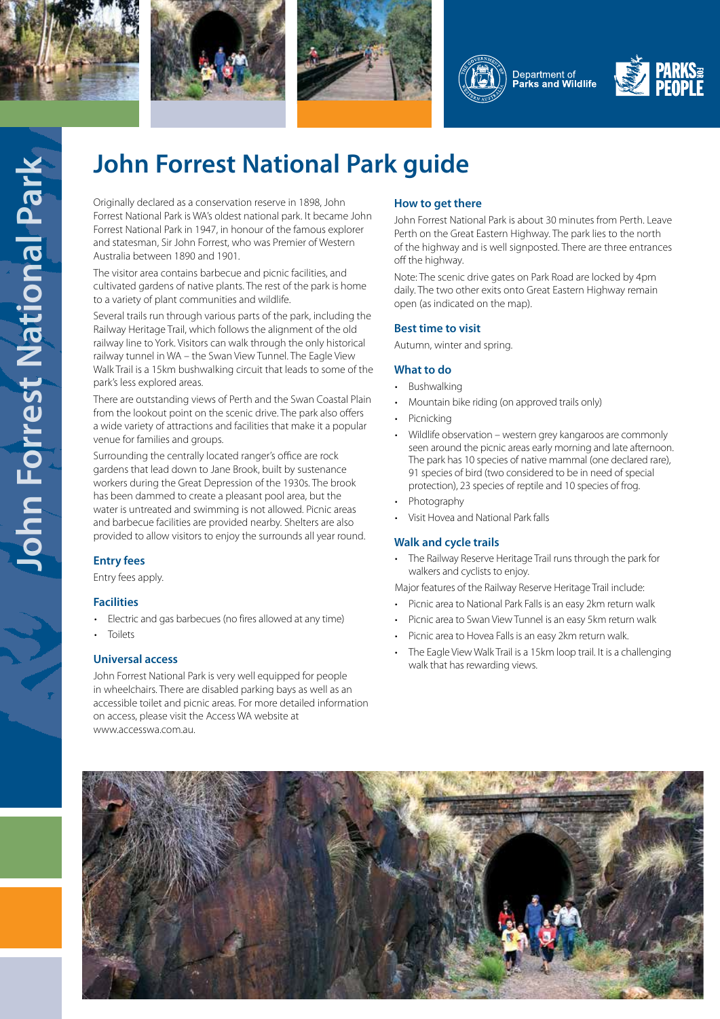









# **John Forrest National Park guide**

Originally declared as a conservation reserve in 1898, John Forrest National Park is WA's oldest national park. It became John Forrest National Park in 1947, in honour of the famous explorer and statesman, Sir John Forrest, who was Premier of Western Australia between 1890 and 1901.

The visitor area contains barbecue and picnic facilities, and cultivated gardens of native plants. The rest of the park is home to a variety of plant communities and wildlife.

Several trails run through various parts of the park, including the Railway Heritage Trail, which follows the alignment of the old railway line to York. Visitors can walk through the only historical railway tunnel in WA – the Swan View Tunnel. The Eagle View Walk Trail is a 15km bushwalking circuit that leads to some of the park's less explored areas.

There are outstanding views of Perth and the Swan Coastal Plain from the lookout point on the scenic drive. The park also offers a wide variety of attractions and facilities that make it a popular venue for families and groups.

Surrounding the centrally located ranger's office are rock gardens that lead down to Jane Brook, built by sustenance workers during the Great Depression of the 1930s. The brook has been dammed to create a pleasant pool area, but the water is untreated and swimming is not allowed. Picnic areas and barbecue facilities are provided nearby. Shelters are also provided to allow visitors to enjoy the surrounds all year round.

# **Entry fees**

Entry fees apply.

#### **Facilities**

- Electric and gas barbecues (no fires allowed at any time)
- **Toilets**

## **Universal access**

John Forrest National Park is very well equipped for people in wheelchairs. There are disabled parking bays as well as an accessible toilet and picnic areas. For more detailed information on access, please visit the Access WA website at www.accesswa.com.au.

## **How to get there**

John Forrest National Park is about 30 minutes from Perth. Leave Perth on the Great Eastern Highway. The park lies to the north of the highway and is well signposted. There are three entrances off the highway.

Note: The scenic drive gates on Park Road are locked by 4pm daily. The two other exits onto Great Eastern Highway remain open (as indicated on the map).

#### **Best time to visit**

Autumn, winter and spring.

#### **What to do**

- Bushwalking
- Mountain bike riding (on approved trails only)
- **Picnicking**
- Wildlife observation western grey kangaroos are commonly seen around the picnic areas early morning and late afternoon. The park has 10 species of native mammal (one declared rare), 91 species of bird (two considered to be in need of special protection), 23 species of reptile and 10 species of frog.
- Photography
- Visit Hovea and National Park falls

#### **Walk and cycle trails**

- The Railway Reserve Heritage Trail runs through the park for walkers and cyclists to enjoy.
- Major features of the Railway Reserve Heritage Trail include:
- Picnic area to National Park Falls is an easy 2km return walk
- Picnic area to Swan View Tunnel is an easy 5km return walk
- Picnic area to Hovea Falls is an easy 2km return walk.
- The Eagle View Walk Trail is a 15km loop trail. It is a challenging walk that has rewarding views.